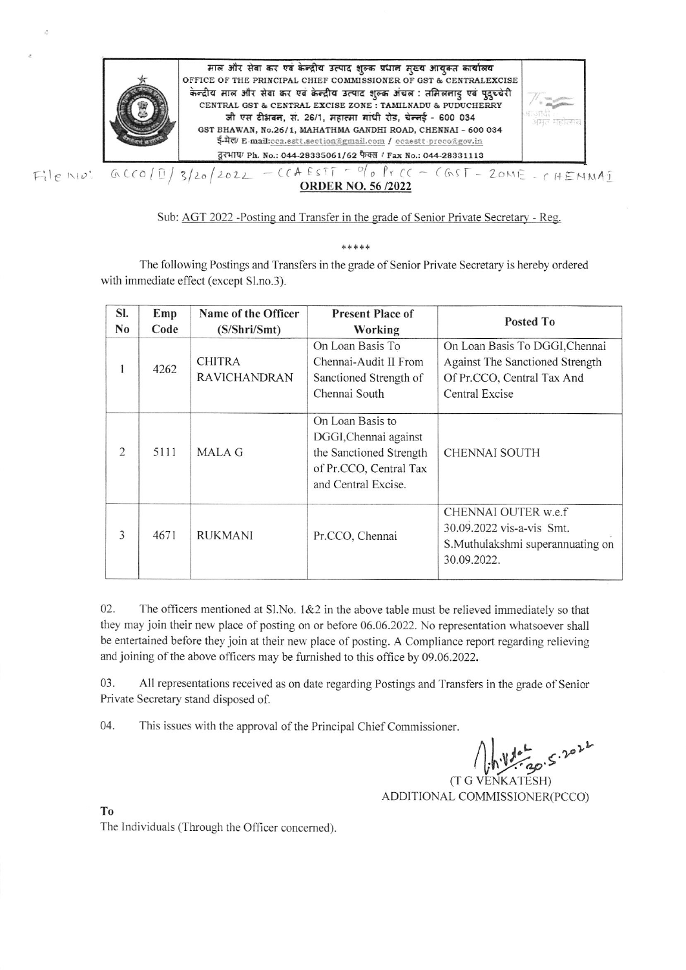

Sub: AGT 2022 - Posting and Transfer in the grade of Senior Private Secretary - Reg.

\*\*\*\*\*

The following Postings and Transfers in the grade of Senior Private Secretary is hereby ordered with immediate effect (except Sl.no.3).

| SI.<br>No | Emp<br>Code | Name of the Officer<br>(S/Shri/Smt)  | <b>Present Place of</b><br>Working                                                                                    | Posted To                                                                                                         |
|-----------|-------------|--------------------------------------|-----------------------------------------------------------------------------------------------------------------------|-------------------------------------------------------------------------------------------------------------------|
|           | 4262        | <b>CHITRA</b><br><b>RAVICHANDRAN</b> | On Loan Basis To<br>Chennai-Audit II From<br>Sanctioned Strength of<br>Chennai South                                  | On Loan Basis To DGGI, Chennai<br>Against The Sanctioned Strength<br>Of Pr.CCO, Central Tax And<br>Central Excise |
| 2         | 5111        | MALA G                               | On Loan Basis to<br>DGGI, Chennai against<br>the Sanctioned Strength<br>of Pr.CCO, Central Tax<br>and Central Excise. | <b>CHENNAI SOUTH</b>                                                                                              |
| 3         | 4671        | <b>RUKMANI</b>                       | Pr.CCO, Chennai                                                                                                       | CHENNAI OUTER w.e.f<br>30.09.2022 vis-a-vis Smt.<br>S.Muthulakshmi superannuating on<br>30.09.2022.               |

02. The officers mentioned at Sl.No. 1&2 in the above table must be relieved immediately so that they may join their new place of posting on or before 06.06.2022. No representation whatsoever shall be entertained before they join at their new place of posting. A Compliance report regarding relieving and joining of the above officers may be furnished to this office by 09.06.2022.

03. All representations received as on date regarding Postings and Transfers in the grade of Senior Private Secretary stand disposed of.

04. This issues with the approval of the Principal Chief Commissioner.

30.5.2022

 $(T G)$ ADDITIONAL COMMISSIONER(PCCO)

T<sub>0</sub>

The Individuals (Through the Officer concerned).